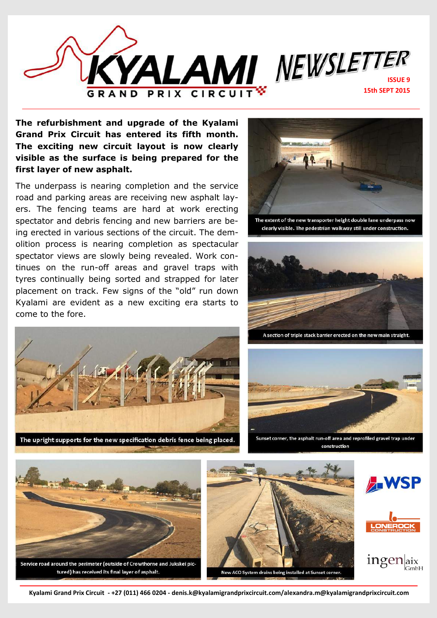

**The refurbishment and upgrade of the Kyalami Grand Prix Circuit has entered its fifth month. The exciting new circuit layout is now clearly visible as the surface is being prepared for the first layer of new asphalt.** 

The underpass is nearing completion and the service road and parking areas are receiving new asphalt layers. The fencing teams are hard at work erecting spectator and debris fencing and new barriers are being erected in various sections of the circuit. The demolition process is nearing completion as spectacular spectator views are slowly being revealed. Work continues on the run-off areas and gravel traps with tyres continually being sorted and strapped for later placement on track. Few signs of the "old" run down Kyalami are evident as a new exciting era starts to come to the fore.



The upright supports for the new specification debris fence being placed.



The extent of the new transporter height double lane underpass now clearly visible. The pedestrian walkway still under construction.



A section of triple stack barrier erected on the new main straight.



Sunset corner, the asphalt run-off area and reprofiled gravel trap under construction



tured) has received its final layer of asphalt.







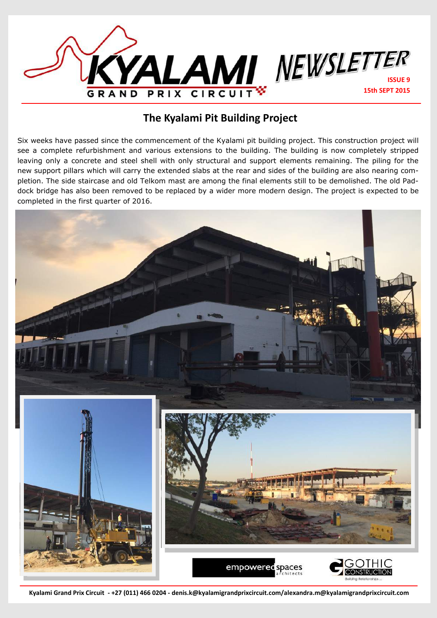

## **The Kyalami Pit Building Project**

Six weeks have passed since the commencement of the Kyalami pit building project. This construction project will see a complete refurbishment and various extensions to the building. The building is now completely stripped leaving only a concrete and steel shell with only structural and support elements remaining. The piling for the new support pillars which will carry the extended slabs at the rear and sides of the building are also nearing completion. The side staircase and old Telkom mast are among the final elements still to be demolished. The old Paddock bridge has also been removed to be replaced by a wider more modern design. The project is expected to be completed in the first quarter of 2016.

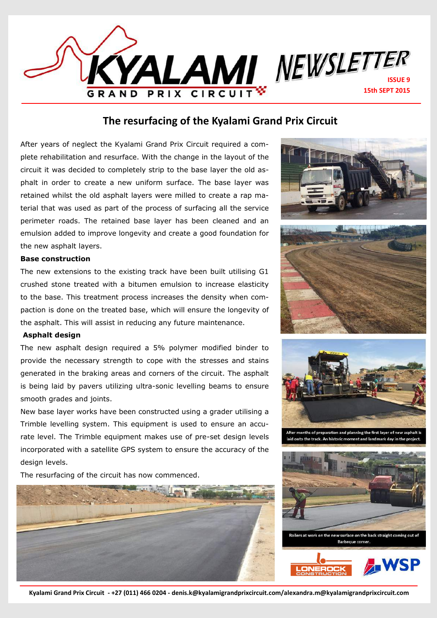

## **The resurfacing of the Kyalami Grand Prix Circuit**

After years of neglect the Kyalami Grand Prix Circuit required a complete rehabilitation and resurface. With the change in the layout of the circuit it was decided to completely strip to the base layer the old asphalt in order to create a new uniform surface. The base layer was retained whilst the old asphalt layers were milled to create a rap material that was used as part of the process of surfacing all the service perimeter roads. The retained base layer has been cleaned and an emulsion added to improve longevity and create a good foundation for the new asphalt layers.

## **Base construction**

The new extensions to the existing track have been built utilising G1 crushed stone treated with a bitumen emulsion to increase elasticity to the base. This treatment process increases the density when compaction is done on the treated base, which will ensure the longevity of the asphalt. This will assist in reducing any future maintenance.

## **Asphalt design**

The new asphalt design required a 5% polymer modified binder to provide the necessary strength to cope with the stresses and stains generated in the braking areas and corners of the circuit. The asphalt is being laid by pavers utilizing ultra-sonic levelling beams to ensure smooth grades and joints.

New base layer works have been constructed using a grader utilising a Trimble levelling system. This equipment is used to ensure an accurate level. The Trimble equipment makes use of pre-set design levels incorporated with a satellite GPS system to ensure the accuracy of the design levels.

The resurfacing of the circuit has now commenced.









After months of preparation and planning the first layer of new asphalt id onto the track. An historic moment and landmark day in the